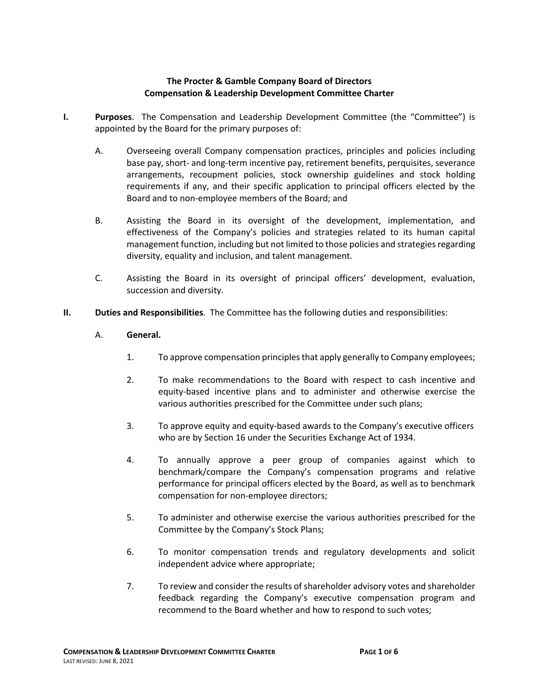## **The Procter & Gamble Company Board of Directors Compensation & Leadership Development Committee Charter**

- **I. Purposes**. The Compensation and Leadership Development Committee (the "Committee") is appointed by the Board for the primary purposes of:
	- A. Overseeing overall Company compensation practices, principles and policies including base pay, short- and long-term incentive pay, retirement benefits, perquisites, severance arrangements, recoupment policies, stock ownership guidelines and stock holding requirements if any, and their specific application to principal officers elected by the Board and to non-employee members of the Board; and
	- B. Assisting the Board in its oversight of the development, implementation, and effectiveness of the Company's policies and strategies related to its human capital management function, including but not limited to those policies and strategies regarding diversity, equality and inclusion, and talent management.
	- C. Assisting the Board in its oversight of principal officers' development, evaluation, succession and diversity.
- **II. Duties and Responsibilities**. The Committee has the following duties and responsibilities:
	- A. **General.**
		- 1. To approve compensation principles that apply generally to Company employees;
		- 2. To make recommendations to the Board with respect to cash incentive and equity-based incentive plans and to administer and otherwise exercise the various authorities prescribed for the Committee under such plans;
		- 3. To approve equity and equity-based awards to the Company's executive officers who are by Section 16 under the Securities Exchange Act of 1934.
		- 4. To annually approve a peer group of companies against which to benchmark/compare the Company's compensation programs and relative performance for principal officers elected by the Board, as well as to benchmark compensation for non-employee directors;
		- 5. To administer and otherwise exercise the various authorities prescribed for the Committee by the Company's Stock Plans;
		- 6. To monitor compensation trends and regulatory developments and solicit independent advice where appropriate;
		- 7. To review and consider the results of shareholder advisory votes and shareholder feedback regarding the Company's executive compensation program and recommend to the Board whether and how to respond to such votes;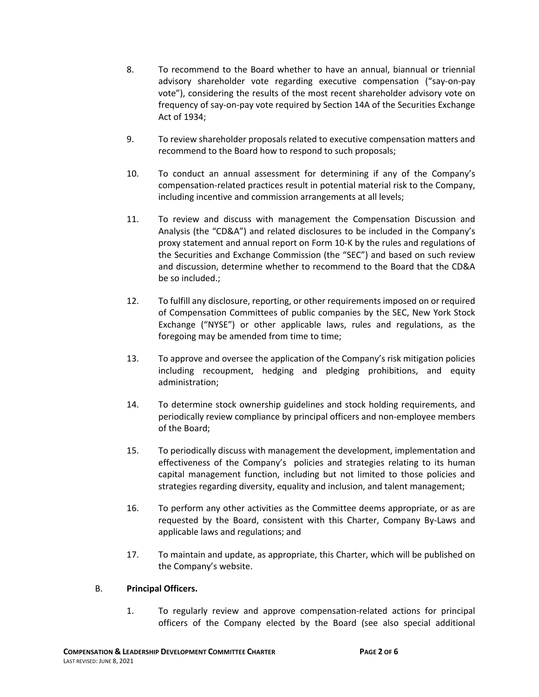- 8. To recommend to the Board whether to have an annual, biannual or triennial advisory shareholder vote regarding executive compensation ("say-on-pay vote"), considering the results of the most recent shareholder advisory vote on frequency of say-on-pay vote required by Section 14A of the Securities Exchange Act of 1934;
- 9. To review shareholder proposals related to executive compensation matters and recommend to the Board how to respond to such proposals;
- 10. To conduct an annual assessment for determining if any of the Company's compensation-related practices result in potential material risk to the Company, including incentive and commission arrangements at all levels;
- 11. To review and discuss with management the Compensation Discussion and Analysis (the "CD&A") and related disclosures to be included in the Company's proxy statement and annual report on Form 10-K by the rules and regulations of the Securities and Exchange Commission (the "SEC") and based on such review and discussion, determine whether to recommend to the Board that the CD&A be so included.;
- 12. To fulfill any disclosure, reporting, or other requirements imposed on or required of Compensation Committees of public companies by the SEC, New York Stock Exchange ("NYSE") or other applicable laws, rules and regulations, as the foregoing may be amended from time to time;
- 13. To approve and oversee the application of the Company's risk mitigation policies including recoupment, hedging and pledging prohibitions, and equity administration;
- 14. To determine stock ownership guidelines and stock holding requirements, and periodically review compliance by principal officers and non-employee members of the Board;
- 15. To periodically discuss with management the development, implementation and effectiveness of the Company's policies and strategies relating to its human capital management function, including but not limited to those policies and strategies regarding diversity, equality and inclusion, and talent management;
- 16. To perform any other activities as the Committee deems appropriate, or as are requested by the Board, consistent with this Charter, Company By-Laws and applicable laws and regulations; and
- 17. To maintain and update, as appropriate, this Charter, which will be published on the Company's website.

#### B. **Principal Officers.**

1. To regularly review and approve compensation-related actions for principal officers of the Company elected by the Board (see also special additional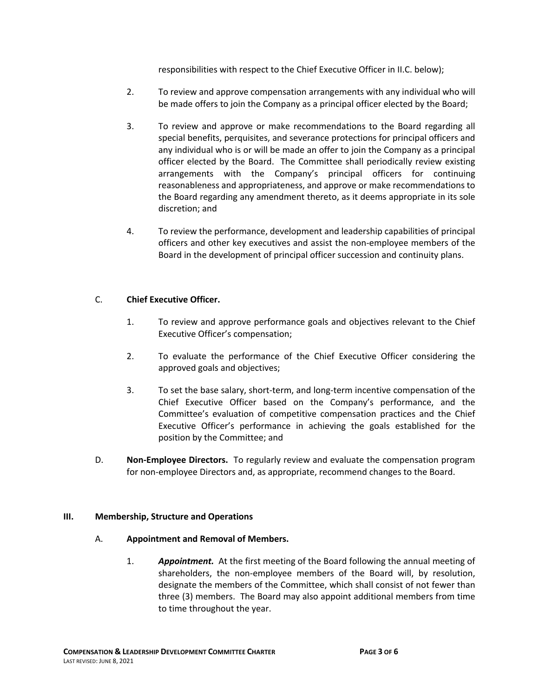responsibilities with respect to the Chief Executive Officer in II.C. below);

- 2. To review and approve compensation arrangements with any individual who will be made offers to join the Company as a principal officer elected by the Board;
- 3. To review and approve or make recommendations to the Board regarding all special benefits, perquisites, and severance protections for principal officers and any individual who is or will be made an offer to join the Company as a principal officer elected by the Board. The Committee shall periodically review existing arrangements with the Company's principal officers for continuing reasonableness and appropriateness, and approve or make recommendations to the Board regarding any amendment thereto, as it deems appropriate in its sole discretion; and
- 4. To review the performance, development and leadership capabilities of principal officers and other key executives and assist the non-employee members of the Board in the development of principal officer succession and continuity plans.

## C. **Chief Executive Officer.**

- 1. To review and approve performance goals and objectives relevant to the Chief Executive Officer's compensation;
- 2. To evaluate the performance of the Chief Executive Officer considering the approved goals and objectives;
- 3. To set the base salary, short-term, and long-term incentive compensation of the Chief Executive Officer based on the Company's performance, and the Committee's evaluation of competitive compensation practices and the Chief Executive Officer's performance in achieving the goals established for the position by the Committee; and
- D. **Non-Employee Directors.** To regularly review and evaluate the compensation program for non-employee Directors and, as appropriate, recommend changes to the Board.

#### **III. Membership, Structure and Operations**

#### A. **Appointment and Removal of Members.**

1. *Appointment.* At the first meeting of the Board following the annual meeting of shareholders, the non-employee members of the Board will, by resolution, designate the members of the Committee, which shall consist of not fewer than three (3) members. The Board may also appoint additional members from time to time throughout the year.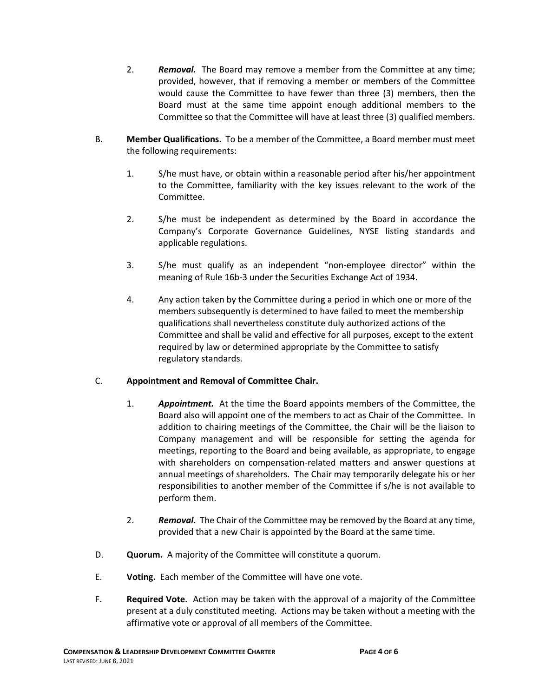- 2. *Removal.* The Board may remove a member from the Committee at any time; provided, however, that if removing a member or members of the Committee would cause the Committee to have fewer than three (3) members, then the Board must at the same time appoint enough additional members to the Committee so that the Committee will have at least three (3) qualified members.
- B. **Member Qualifications.**To be a member of the Committee, a Board member must meet the following requirements:
	- 1. S/he must have, or obtain within a reasonable period after his/her appointment to the Committee, familiarity with the key issues relevant to the work of the Committee.
	- 2. S/he must be independent as determined by the Board in accordance the Company's Corporate Governance Guidelines, NYSE listing standards and applicable regulations.
	- 3. S/he must qualify as an independent "non-employee director" within the meaning of Rule 16b-3 under the Securities Exchange Act of 1934.
	- 4. Any action taken by the Committee during a period in which one or more of the members subsequently is determined to have failed to meet the membership qualifications shall nevertheless constitute duly authorized actions of the Committee and shall be valid and effective for all purposes, except to the extent required by law or determined appropriate by the Committee to satisfy regulatory standards.

#### C. **Appointment and Removal of Committee Chair.**

- 1. *Appointment.* At the time the Board appoints members of the Committee, the Board also will appoint one of the members to act as Chair of the Committee. In addition to chairing meetings of the Committee, the Chair will be the liaison to Company management and will be responsible for setting the agenda for meetings, reporting to the Board and being available, as appropriate, to engage with shareholders on compensation-related matters and answer questions at annual meetings of shareholders. The Chair may temporarily delegate his or her responsibilities to another member of the Committee if s/he is not available to perform them.
- 2. *Removal.* The Chair of the Committee may be removed by the Board at any time, provided that a new Chair is appointed by the Board at the same time.
- D. **Quorum.** A majority of the Committee will constitute a quorum.
- E. **Voting.** Each member of the Committee will have one vote.
- F. **Required Vote.** Action may be taken with the approval of a majority of the Committee present at a duly constituted meeting. Actions may be taken without a meeting with the affirmative vote or approval of all members of the Committee.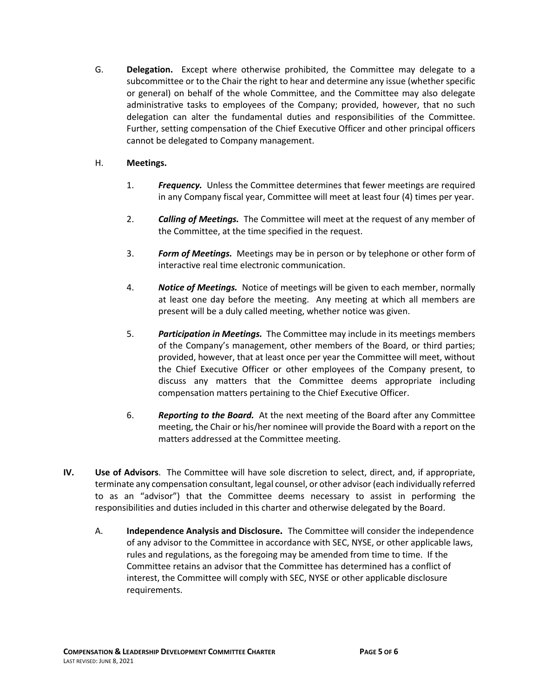G. **Delegation.** Except where otherwise prohibited, the Committee may delegate to a subcommittee or to the Chair the right to hear and determine any issue (whether specific or general) on behalf of the whole Committee, and the Committee may also delegate administrative tasks to employees of the Company; provided, however, that no such delegation can alter the fundamental duties and responsibilities of the Committee. Further, setting compensation of the Chief Executive Officer and other principal officers cannot be delegated to Company management.

# H. **Meetings.**

- 1. *Frequency.* Unless the Committee determines that fewer meetings are required in any Company fiscal year, Committee will meet at least four (4) times per year.
- 2. *Calling of Meetings.* The Committee will meet at the request of any member of the Committee, at the time specified in the request.
- 3. *Form of Meetings.* Meetings may be in person or by telephone or other form of interactive real time electronic communication.
- 4. *Notice of Meetings.* Notice of meetings will be given to each member, normally at least one day before the meeting. Any meeting at which all members are present will be a duly called meeting, whether notice was given.
- 5. *Participation in Meetings.* The Committee may include in its meetings members of the Company's management, other members of the Board, or third parties; provided, however, that at least once per year the Committee will meet, without the Chief Executive Officer or other employees of the Company present, to discuss any matters that the Committee deems appropriate including compensation matters pertaining to the Chief Executive Officer.
- 6. *Reporting to the Board.* At the next meeting of the Board after any Committee meeting, the Chair or his/her nominee will provide the Board with a report on the matters addressed at the Committee meeting.
- **IV. Use of Advisors**. The Committee will have sole discretion to select, direct, and, if appropriate, terminate any compensation consultant, legal counsel, or other advisor (each individually referred to as an "advisor") that the Committee deems necessary to assist in performing the responsibilities and duties included in this charter and otherwise delegated by the Board.
	- A. **Independence Analysis and Disclosure.** The Committee will consider the independence of any advisor to the Committee in accordance with SEC, NYSE, or other applicable laws, rules and regulations, as the foregoing may be amended from time to time. If the Committee retains an advisor that the Committee has determined has a conflict of interest, the Committee will comply with SEC, NYSE or other applicable disclosure requirements.